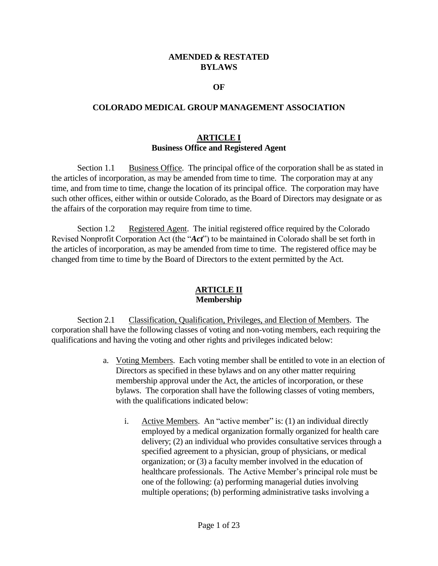### **AMENDED & RESTATED BYLAWS**

#### **OF**

#### **COLORADO MEDICAL GROUP MANAGEMENT ASSOCIATION**

#### **ARTICLE I Business Office and Registered Agent**

Section 1.1 Business Office. The principal office of the corporation shall be as stated in the articles of incorporation, as may be amended from time to time. The corporation may at any time, and from time to time, change the location of its principal office. The corporation may have such other offices, either within or outside Colorado, as the Board of Directors may designate or as the affairs of the corporation may require from time to time.

Section 1.2 Registered Agent. The initial registered office required by the Colorado Revised Nonprofit Corporation Act (the "*Act*") to be maintained in Colorado shall be set forth in the articles of incorporation, as may be amended from time to time. The registered office may be changed from time to time by the Board of Directors to the extent permitted by the Act.

### **ARTICLE II Membership**

Section 2.1 Classification, Qualification, Privileges, and Election of Members. The corporation shall have the following classes of voting and non-voting members, each requiring the qualifications and having the voting and other rights and privileges indicated below:

- a. Voting Members. Each voting member shall be entitled to vote in an election of Directors as specified in these bylaws and on any other matter requiring membership approval under the Act, the articles of incorporation, or these bylaws. The corporation shall have the following classes of voting members, with the qualifications indicated below:
	- i. Active Members. An "active member" is: (1) an individual directly employed by a medical organization formally organized for health care delivery; (2) an individual who provides consultative services through a specified agreement to a physician, group of physicians, or medical organization; or (3) a faculty member involved in the education of healthcare professionals. The Active Member's principal role must be one of the following: (a) performing managerial duties involving multiple operations; (b) performing administrative tasks involving a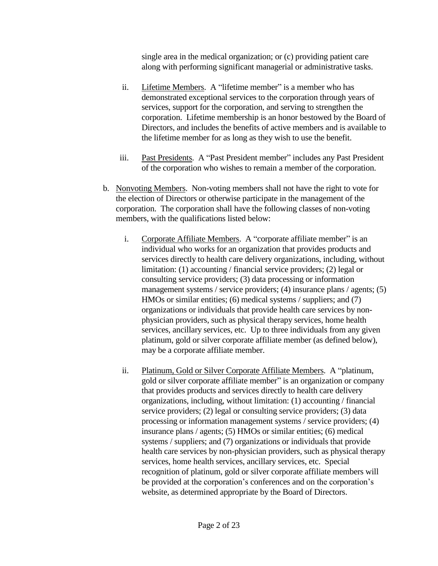single area in the medical organization; or (c) providing patient care along with performing significant managerial or administrative tasks.

- ii. Lifetime Members. A "lifetime member" is a member who has demonstrated exceptional services to the corporation through years of services, support for the corporation, and serving to strengthen the corporation. Lifetime membership is an honor bestowed by the Board of Directors, and includes the benefits of active members and is available to the lifetime member for as long as they wish to use the benefit.
- iii. Past Presidents. A "Past President member" includes any Past President of the corporation who wishes to remain a member of the corporation.
- b. Nonvoting Members. Non-voting members shall not have the right to vote for the election of Directors or otherwise participate in the management of the corporation. The corporation shall have the following classes of non-voting members, with the qualifications listed below:
	- i. Corporate Affiliate Members. A "corporate affiliate member" is an individual who works for an organization that provides products and services directly to health care delivery organizations, including, without limitation: (1) accounting / financial service providers; (2) legal or consulting service providers; (3) data processing or information management systems / service providers; (4) insurance plans / agents; (5) HMOs or similar entities; (6) medical systems / suppliers; and (7) organizations or individuals that provide health care services by nonphysician providers, such as physical therapy services, home health services, ancillary services, etc. Up to three individuals from any given platinum, gold or silver corporate affiliate member (as defined below), may be a corporate affiliate member.
	- ii. Platinum, Gold or Silver Corporate Affiliate Members. A "platinum, gold or silver corporate affiliate member" is an organization or company that provides products and services directly to health care delivery organizations, including, without limitation: (1) accounting / financial service providers; (2) legal or consulting service providers; (3) data processing or information management systems / service providers; (4) insurance plans / agents; (5) HMOs or similar entities; (6) medical systems / suppliers; and (7) organizations or individuals that provide health care services by non-physician providers, such as physical therapy services, home health services, ancillary services, etc. Special recognition of platinum, gold or silver corporate affiliate members will be provided at the corporation's conferences and on the corporation's website, as determined appropriate by the Board of Directors.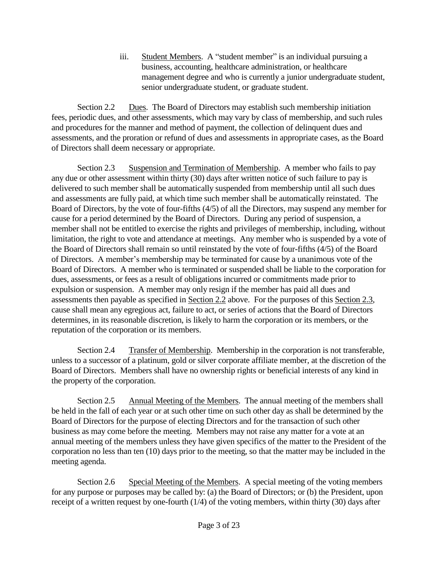iii. Student Members. A "student member" is an individual pursuing a business, accounting, healthcare administration, or healthcare management degree and who is currently a junior undergraduate student, senior undergraduate student, or graduate student.

Section 2.2 Dues. The Board of Directors may establish such membership initiation fees, periodic dues, and other assessments, which may vary by class of membership, and such rules and procedures for the manner and method of payment, the collection of delinquent dues and assessments, and the proration or refund of dues and assessments in appropriate cases, as the Board of Directors shall deem necessary or appropriate.

Section 2.3 Suspension and Termination of Membership. A member who fails to pay any due or other assessment within thirty (30) days after written notice of such failure to pay is delivered to such member shall be automatically suspended from membership until all such dues and assessments are fully paid, at which time such member shall be automatically reinstated. The Board of Directors, by the vote of four-fifths (4/5) of all the Directors, may suspend any member for cause for a period determined by the Board of Directors. During any period of suspension, a member shall not be entitled to exercise the rights and privileges of membership, including, without limitation, the right to vote and attendance at meetings. Any member who is suspended by a vote of the Board of Directors shall remain so until reinstated by the vote of four-fifths (4/5) of the Board of Directors. A member's membership may be terminated for cause by a unanimous vote of the Board of Directors. A member who is terminated or suspended shall be liable to the corporation for dues, assessments, or fees as a result of obligations incurred or commitments made prior to expulsion or suspension. A member may only resign if the member has paid all dues and assessments then payable as specified in Section 2.2 above. For the purposes of this Section 2.3, cause shall mean any egregious act, failure to act, or series of actions that the Board of Directors determines, in its reasonable discretion, is likely to harm the corporation or its members, or the reputation of the corporation or its members.

Section 2.4 Transfer of Membership. Membership in the corporation is not transferable, unless to a successor of a platinum, gold or silver corporate affiliate member, at the discretion of the Board of Directors. Members shall have no ownership rights or beneficial interests of any kind in the property of the corporation.

Section 2.5 Annual Meeting of the Members. The annual meeting of the members shall be held in the fall of each year or at such other time on such other day as shall be determined by the Board of Directors for the purpose of electing Directors and for the transaction of such other business as may come before the meeting. Members may not raise any matter for a vote at an annual meeting of the members unless they have given specifics of the matter to the President of the corporation no less than ten (10) days prior to the meeting, so that the matter may be included in the meeting agenda.

Section 2.6 Special Meeting of the Members. A special meeting of the voting members for any purpose or purposes may be called by: (a) the Board of Directors; or (b) the President, upon receipt of a written request by one-fourth (1/4) of the voting members, within thirty (30) days after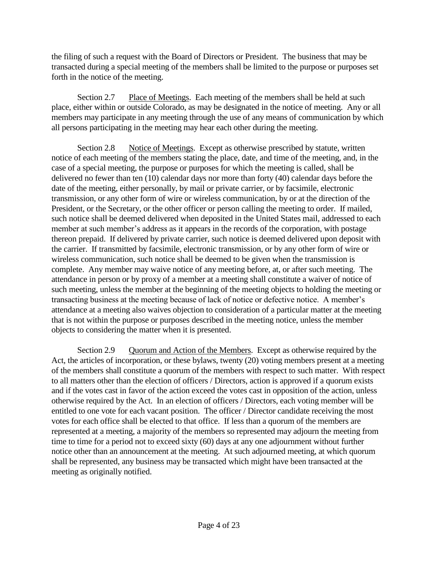the filing of such a request with the Board of Directors or President. The business that may be transacted during a special meeting of the members shall be limited to the purpose or purposes set forth in the notice of the meeting.

Section 2.7 Place of Meetings. Each meeting of the members shall be held at such place, either within or outside Colorado, as may be designated in the notice of meeting. Any or all members may participate in any meeting through the use of any means of communication by which all persons participating in the meeting may hear each other during the meeting.

Section 2.8 Notice of Meetings. Except as otherwise prescribed by statute, written notice of each meeting of the members stating the place, date, and time of the meeting, and, in the case of a special meeting, the purpose or purposes for which the meeting is called, shall be delivered no fewer than ten (10) calendar days nor more than forty (40) calendar days before the date of the meeting, either personally, by mail or private carrier, or by facsimile, electronic transmission, or any other form of wire or wireless communication, by or at the direction of the President, or the Secretary, or the other officer or person calling the meeting to order. If mailed, such notice shall be deemed delivered when deposited in the United States mail, addressed to each member at such member's address as it appears in the records of the corporation, with postage thereon prepaid. If delivered by private carrier, such notice is deemed delivered upon deposit with the carrier. If transmitted by facsimile, electronic transmission, or by any other form of wire or wireless communication, such notice shall be deemed to be given when the transmission is complete. Any member may waive notice of any meeting before, at, or after such meeting. The attendance in person or by proxy of a member at a meeting shall constitute a waiver of notice of such meeting, unless the member at the beginning of the meeting objects to holding the meeting or transacting business at the meeting because of lack of notice or defective notice. A member's attendance at a meeting also waives objection to consideration of a particular matter at the meeting that is not within the purpose or purposes described in the meeting notice, unless the member objects to considering the matter when it is presented.

Section 2.9 Quorum and Action of the Members. Except as otherwise required by the Act, the articles of incorporation, or these bylaws, twenty (20) voting members present at a meeting of the members shall constitute a quorum of the members with respect to such matter. With respect to all matters other than the election of officers / Directors, action is approved if a quorum exists and if the votes cast in favor of the action exceed the votes cast in opposition of the action, unless otherwise required by the Act. In an election of officers / Directors, each voting member will be entitled to one vote for each vacant position. The officer / Director candidate receiving the most votes for each office shall be elected to that office. If less than a quorum of the members are represented at a meeting, a majority of the members so represented may adjourn the meeting from time to time for a period not to exceed sixty (60) days at any one adjournment without further notice other than an announcement at the meeting. At such adjourned meeting, at which quorum shall be represented, any business may be transacted which might have been transacted at the meeting as originally notified.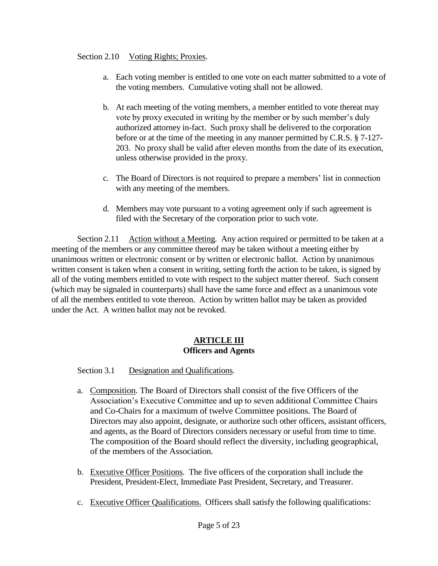### Section 2.10 Voting Rights; Proxies.

- a. Each voting member is entitled to one vote on each matter submitted to a vote of the voting members. Cumulative voting shall not be allowed.
- b. At each meeting of the voting members, a member entitled to vote thereat may vote by proxy executed in writing by the member or by such member's duly authorized attorney in-fact. Such proxy shall be delivered to the corporation before or at the time of the meeting in any manner permitted by C.R.S. § 7-127- 203. No proxy shall be valid after eleven months from the date of its execution, unless otherwise provided in the proxy.
- c. The Board of Directors is not required to prepare a members' list in connection with any meeting of the members.
- d. Members may vote pursuant to a voting agreement only if such agreement is filed with the Secretary of the corporation prior to such vote.

Section 2.11 Action without a Meeting. Any action required or permitted to be taken at a meeting of the members or any committee thereof may be taken without a meeting either by unanimous written or electronic consent or by written or electronic ballot. Action by unanimous written consent is taken when a consent in writing, setting forth the action to be taken, is signed by all of the voting members entitled to vote with respect to the subject matter thereof. Such consent (which may be signaled in counterparts) shall have the same force and effect as a unanimous vote of all the members entitled to vote thereon. Action by written ballot may be taken as provided under the Act. A written ballot may not be revoked.

#### **ARTICLE III Officers and Agents**

Section 3.1 Designation and Qualifications.

- a. Composition. The Board of Directors shall consist of the five Officers of the Association's Executive Committee and up to seven additional Committee Chairs and Co-Chairs for a maximum of twelve Committee positions. The Board of Directors may also appoint, designate, or authorize such other officers, assistant officers, and agents, as the Board of Directors considers necessary or useful from time to time. The composition of the Board should reflect the diversity, including geographical, of the members of the Association.
- b. Executive Officer Positions. The five officers of the corporation shall include the President, President-Elect, Immediate Past President, Secretary, and Treasurer.
- c. Executive Officer Qualifications. Officers shall satisfy the following qualifications: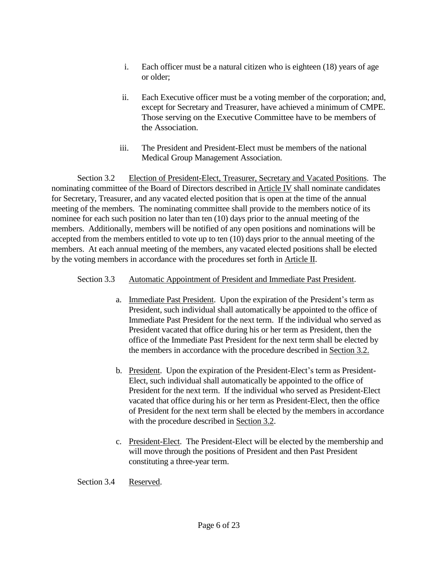- i. Each officer must be a natural citizen who is eighteen (18) years of age or older;
- ii. Each Executive officer must be a voting member of the corporation; and, except for Secretary and Treasurer, have achieved a minimum of CMPE. Those serving on the Executive Committee have to be members of the Association.
- iii. The President and President-Elect must be members of the national Medical Group Management Association.

Section 3.2 Election of President-Elect, Treasurer, Secretary and Vacated Positions. The nominating committee of the Board of Directors described in Article IV shall nominate candidates for Secretary, Treasurer, and any vacated elected position that is open at the time of the annual meeting of the members. The nominating committee shall provide to the members notice of its nominee for each such position no later than ten (10) days prior to the annual meeting of the members. Additionally, members will be notified of any open positions and nominations will be accepted from the members entitled to vote up to ten (10) days prior to the annual meeting of the members. At each annual meeting of the members, any vacated elected positions shall be elected by the voting members in accordance with the procedures set forth in Article II.

# Section 3.3 Automatic Appointment of President and Immediate Past President.

- a. Immediate Past President. Upon the expiration of the President's term as President, such individual shall automatically be appointed to the office of Immediate Past President for the next term. If the individual who served as President vacated that office during his or her term as President, then the office of the Immediate Past President for the next term shall be elected by the members in accordance with the procedure described in Section 3.2.
- b. President. Upon the expiration of the President-Elect's term as President-Elect, such individual shall automatically be appointed to the office of President for the next term. If the individual who served as President-Elect vacated that office during his or her term as President-Elect, then the office of President for the next term shall be elected by the members in accordance with the procedure described in Section 3.2.
- c. President-Elect. The President-Elect will be elected by the membership and will move through the positions of President and then Past President constituting a three-year term.

Section 3.4 Reserved.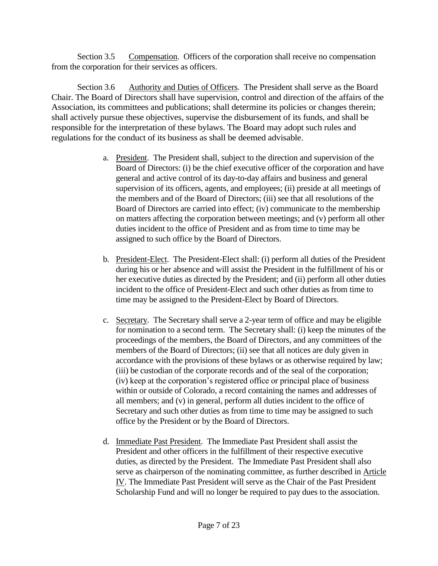Section 3.5 Compensation. Officers of the corporation shall receive no compensation from the corporation for their services as officers.

Section 3.6 Authority and Duties of Officers. The President shall serve as the Board Chair. The Board of Directors shall have supervision, control and direction of the affairs of the Association, its committees and publications; shall determine its policies or changes therein; shall actively pursue these objectives, supervise the disbursement of its funds, and shall be responsible for the interpretation of these bylaws. The Board may adopt such rules and regulations for the conduct of its business as shall be deemed advisable.

- a. President. The President shall, subject to the direction and supervision of the Board of Directors: (i) be the chief executive officer of the corporation and have general and active control of its day-to-day affairs and business and general supervision of its officers, agents, and employees; (ii) preside at all meetings of the members and of the Board of Directors; (iii) see that all resolutions of the Board of Directors are carried into effect; (iv) communicate to the membership on matters affecting the corporation between meetings; and (v) perform all other duties incident to the office of President and as from time to time may be assigned to such office by the Board of Directors.
- b. President-Elect. The President-Elect shall: (i) perform all duties of the President during his or her absence and will assist the President in the fulfillment of his or her executive duties as directed by the President; and (ii) perform all other duties incident to the office of President-Elect and such other duties as from time to time may be assigned to the President-Elect by Board of Directors.
- c. Secretary. The Secretary shall serve a 2-year term of office and may be eligible for nomination to a second term. The Secretary shall: (i) keep the minutes of the proceedings of the members, the Board of Directors, and any committees of the members of the Board of Directors; (ii) see that all notices are duly given in accordance with the provisions of these bylaws or as otherwise required by law; (iii) be custodian of the corporate records and of the seal of the corporation; (iv) keep at the corporation's registered office or principal place of business within or outside of Colorado, a record containing the names and addresses of all members; and (v) in general, perform all duties incident to the office of Secretary and such other duties as from time to time may be assigned to such office by the President or by the Board of Directors.
- d. Immediate Past President. The Immediate Past President shall assist the President and other officers in the fulfillment of their respective executive duties, as directed by the President. The Immediate Past President shall also serve as chairperson of the nominating committee, as further described in Article IV. The Immediate Past President will serve as the Chair of the Past President Scholarship Fund and will no longer be required to pay dues to the association.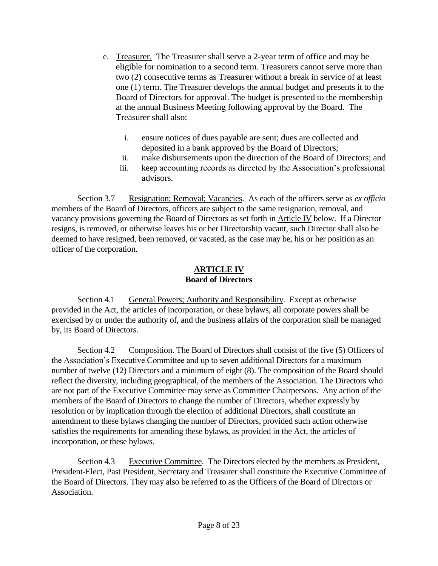- e. Treasurer. The Treasurer shall serve a 2-year term of office and may be eligible for nomination to a second term. Treasurers cannot serve more than two (2) consecutive terms as Treasurer without a break in service of at least one (1) term. The Treasurer develops the annual budget and presents it to the Board of Directors for approval. The budget is presented to the membership at the annual Business Meeting following approval by the Board. The Treasurer shall also:
	- i. ensure notices of dues payable are sent; dues are collected and deposited in a bank approved by the Board of Directors;
	- ii. make disbursements upon the direction of the Board of Directors; and
	- iii. keep accounting records as directed by the Association's professional advisors.

Section 3.7 Resignation; Removal; Vacancies. As each of the officers serve as *ex officio* members of the Board of Directors, officers are subject to the same resignation, removal, and vacancy provisions governing the Board of Directors as set forth in Article IV below. If a Director resigns, is removed, or otherwise leaves his or her Directorship vacant, such Director shall also be deemed to have resigned, been removed, or vacated, as the case may be, his or her position as an officer of the corporation.

#### **ARTICLE IV Board of Directors**

Section 4.1 General Powers; Authority and Responsibility. Except as otherwise provided in the Act, the articles of incorporation, or these bylaws, all corporate powers shall be exercised by or under the authority of, and the business affairs of the corporation shall be managed by, its Board of Directors.

Section 4.2 Composition. The Board of Directors shall consist of the five (5) Officers of the Association's Executive Committee and up to seven additional Directors for a maximum number of twelve (12) Directors and a minimum of eight (8). The composition of the Board should reflect the diversity, including geographical, of the members of the Association. The Directors who are not part of the Executive Committee may serve as Committee Chairpersons. Any action of the members of the Board of Directors to change the number of Directors, whether expressly by resolution or by implication through the election of additional Directors, shall constitute an amendment to these bylaws changing the number of Directors, provided such action otherwise satisfies the requirements for amending these bylaws, as provided in the Act, the articles of incorporation, or these bylaws.

Section 4.3 Executive Committee. The Directors elected by the members as President, President-Elect, Past President, Secretary and Treasurer shall constitute the Executive Committee of the Board of Directors. They may also be referred to as the Officers of the Board of Directors or Association.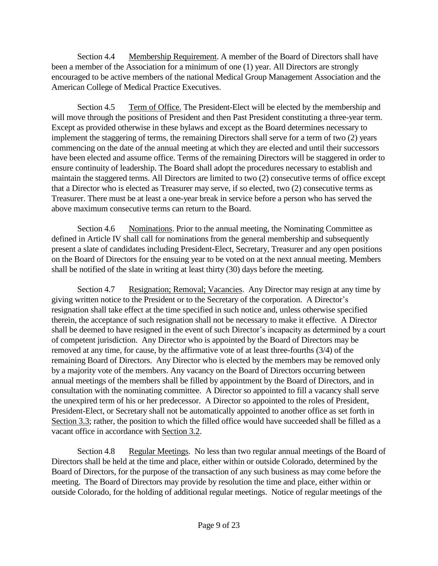Section 4.4 Membership Requirement. A member of the Board of Directors shall have been a member of the Association for a minimum of one (1) year. All Directors are strongly encouraged to be active members of the national Medical Group Management Association and the American College of Medical Practice Executives.

Section 4.5 Term of Office. The President-Elect will be elected by the membership and will move through the positions of President and then Past President constituting a three-year term. Except as provided otherwise in these bylaws and except as the Board determines necessary to implement the staggering of terms, the remaining Directors shall serve for a term of two (2) years commencing on the date of the annual meeting at which they are elected and until their successors have been elected and assume office. Terms of the remaining Directors will be staggered in order to ensure continuity of leadership. The Board shall adopt the procedures necessary to establish and maintain the staggered terms. All Directors are limited to two (2) consecutive terms of office except that a Director who is elected as Treasurer may serve, if so elected, two (2) consecutive terms as Treasurer. There must be at least a one-year break in service before a person who has served the above maximum consecutive terms can return to the Board.

Section 4.6 Nominations. Prior to the annual meeting, the Nominating Committee as defined in Article IV shall call for nominations from the general membership and subsequently present a slate of candidates including President-Elect, Secretary, Treasurer and any open positions on the Board of Directors for the ensuing year to be voted on at the next annual meeting. Members shall be notified of the slate in writing at least thirty (30) days before the meeting.

Section 4.7 Resignation; Removal; Vacancies. Any Director may resign at any time by giving written notice to the President or to the Secretary of the corporation. A Director's resignation shall take effect at the time specified in such notice and, unless otherwise specified therein, the acceptance of such resignation shall not be necessary to make it effective. A Director shall be deemed to have resigned in the event of such Director's incapacity as determined by a court of competent jurisdiction. Any Director who is appointed by the Board of Directors may be removed at any time, for cause, by the affirmative vote of at least three-fourths (3/4) of the remaining Board of Directors. Any Director who is elected by the members may be removed only by a majority vote of the members. Any vacancy on the Board of Directors occurring between annual meetings of the members shall be filled by appointment by the Board of Directors, and in consultation with the nominating committee. A Director so appointed to fill a vacancy shall serve the unexpired term of his or her predecessor. A Director so appointed to the roles of President, President-Elect, or Secretary shall not be automatically appointed to another office as set forth in Section 3.3; rather, the position to which the filled office would have succeeded shall be filled as a vacant office in accordance with Section 3.2.

Section 4.8 Regular Meetings. No less than two regular annual meetings of the Board of Directors shall be held at the time and place, either within or outside Colorado, determined by the Board of Directors, for the purpose of the transaction of any such business as may come before the meeting. The Board of Directors may provide by resolution the time and place, either within or outside Colorado, for the holding of additional regular meetings. Notice of regular meetings of the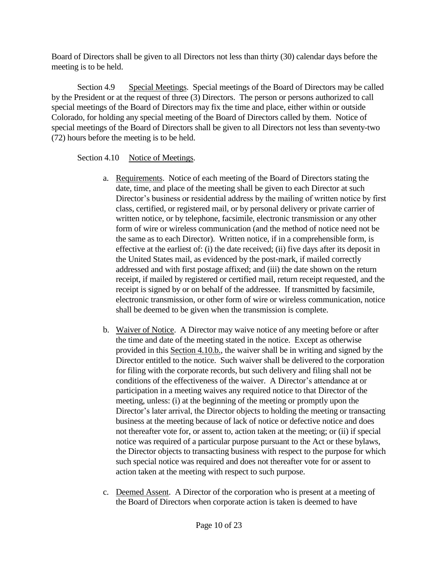Board of Directors shall be given to all Directors not less than thirty (30) calendar days before the meeting is to be held.

Section 4.9 Special Meetings. Special meetings of the Board of Directors may be called by the President or at the request of three (3) Directors. The person or persons authorized to call special meetings of the Board of Directors may fix the time and place, either within or outside Colorado, for holding any special meeting of the Board of Directors called by them. Notice of special meetings of the Board of Directors shall be given to all Directors not less than seventy-two (72) hours before the meeting is to be held.

# Section 4.10 Notice of Meetings.

- a. Requirements. Notice of each meeting of the Board of Directors stating the date, time, and place of the meeting shall be given to each Director at such Director's business or residential address by the mailing of written notice by first class, certified, or registered mail, or by personal delivery or private carrier of written notice, or by telephone, facsimile, electronic transmission or any other form of wire or wireless communication (and the method of notice need not be the same as to each Director). Written notice, if in a comprehensible form, is effective at the earliest of: (i) the date received; (ii) five days after its deposit in the United States mail, as evidenced by the post-mark, if mailed correctly addressed and with first postage affixed; and (iii) the date shown on the return receipt, if mailed by registered or certified mail, return receipt requested, and the receipt is signed by or on behalf of the addressee. If transmitted by facsimile, electronic transmission, or other form of wire or wireless communication, notice shall be deemed to be given when the transmission is complete.
- b. Waiver of Notice. A Director may waive notice of any meeting before or after the time and date of the meeting stated in the notice. Except as otherwise provided in this Section 4.10.b., the waiver shall be in writing and signed by the Director entitled to the notice. Such waiver shall be delivered to the corporation for filing with the corporate records, but such delivery and filing shall not be conditions of the effectiveness of the waiver. A Director's attendance at or participation in a meeting waives any required notice to that Director of the meeting, unless: (i) at the beginning of the meeting or promptly upon the Director's later arrival, the Director objects to holding the meeting or transacting business at the meeting because of lack of notice or defective notice and does not thereafter vote for, or assent to, action taken at the meeting; or (ii) if special notice was required of a particular purpose pursuant to the Act or these bylaws, the Director objects to transacting business with respect to the purpose for which such special notice was required and does not thereafter vote for or assent to action taken at the meeting with respect to such purpose.
- c. Deemed Assent. A Director of the corporation who is present at a meeting of the Board of Directors when corporate action is taken is deemed to have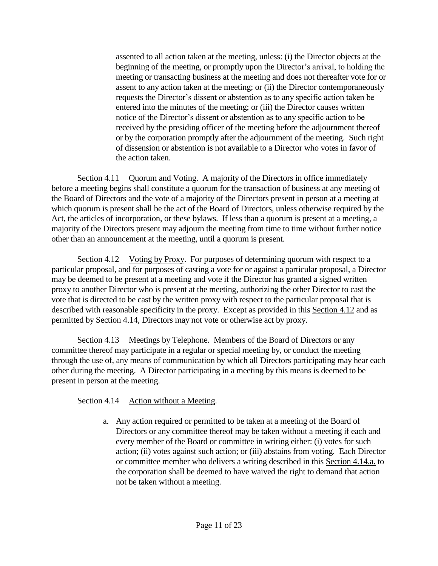assented to all action taken at the meeting, unless: (i) the Director objects at the beginning of the meeting, or promptly upon the Director's arrival, to holding the meeting or transacting business at the meeting and does not thereafter vote for or assent to any action taken at the meeting; or (ii) the Director contemporaneously requests the Director's dissent or abstention as to any specific action taken be entered into the minutes of the meeting; or (iii) the Director causes written notice of the Director's dissent or abstention as to any specific action to be received by the presiding officer of the meeting before the adjournment thereof or by the corporation promptly after the adjournment of the meeting. Such right of dissension or abstention is not available to a Director who votes in favor of the action taken.

Section 4.11 Quorum and Voting. A majority of the Directors in office immediately before a meeting begins shall constitute a quorum for the transaction of business at any meeting of the Board of Directors and the vote of a majority of the Directors present in person at a meeting at which quorum is present shall be the act of the Board of Directors, unless otherwise required by the Act, the articles of incorporation, or these bylaws. If less than a quorum is present at a meeting, a majority of the Directors present may adjourn the meeting from time to time without further notice other than an announcement at the meeting, until a quorum is present.

Section 4.12 Voting by Proxy. For purposes of determining quorum with respect to a particular proposal, and for purposes of casting a vote for or against a particular proposal, a Director may be deemed to be present at a meeting and vote if the Director has granted a signed written proxy to another Director who is present at the meeting, authorizing the other Director to cast the vote that is directed to be cast by the written proxy with respect to the particular proposal that is described with reasonable specificity in the proxy. Except as provided in this Section 4.12 and as permitted by Section 4.14, Directors may not vote or otherwise act by proxy.

Section 4.13 Meetings by Telephone. Members of the Board of Directors or any committee thereof may participate in a regular or special meeting by, or conduct the meeting through the use of, any means of communication by which all Directors participating may hear each other during the meeting. A Director participating in a meeting by this means is deemed to be present in person at the meeting.

Section 4.14 Action without a Meeting.

a. Any action required or permitted to be taken at a meeting of the Board of Directors or any committee thereof may be taken without a meeting if each and every member of the Board or committee in writing either: (i) votes for such action; (ii) votes against such action; or (iii) abstains from voting. Each Director or committee member who delivers a writing described in this Section 4.14.a. to the corporation shall be deemed to have waived the right to demand that action not be taken without a meeting.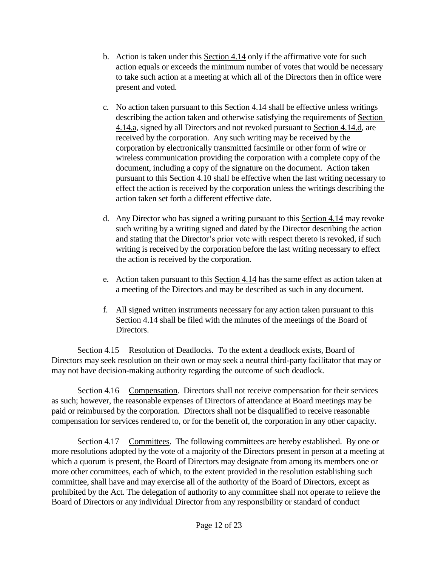- b. Action is taken under this Section 4.14 only if the affirmative vote for such action equals or exceeds the minimum number of votes that would be necessary to take such action at a meeting at which all of the Directors then in office were present and voted.
- c. No action taken pursuant to this Section 4.14 shall be effective unless writings describing the action taken and otherwise satisfying the requirements of Section 4.14.a, signed by all Directors and not revoked pursuant to Section 4.14.d, are received by the corporation. Any such writing may be received by the corporation by electronically transmitted facsimile or other form of wire or wireless communication providing the corporation with a complete copy of the document, including a copy of the signature on the document. Action taken pursuant to this Section 4.10 shall be effective when the last writing necessary to effect the action is received by the corporation unless the writings describing the action taken set forth a different effective date.
- d. Any Director who has signed a writing pursuant to this Section 4.14 may revoke such writing by a writing signed and dated by the Director describing the action and stating that the Director's prior vote with respect thereto is revoked, if such writing is received by the corporation before the last writing necessary to effect the action is received by the corporation.
- e. Action taken pursuant to this Section 4.14 has the same effect as action taken at a meeting of the Directors and may be described as such in any document.
- f. All signed written instruments necessary for any action taken pursuant to this Section 4.14 shall be filed with the minutes of the meetings of the Board of Directors.

Section 4.15 Resolution of Deadlocks. To the extent a deadlock exists, Board of Directors may seek resolution on their own or may seek a neutral third-party facilitator that may or may not have decision-making authority regarding the outcome of such deadlock.

Section 4.16 Compensation. Directors shall not receive compensation for their services as such; however, the reasonable expenses of Directors of attendance at Board meetings may be paid or reimbursed by the corporation. Directors shall not be disqualified to receive reasonable compensation for services rendered to, or for the benefit of, the corporation in any other capacity.

Section 4.17 Committees. The following committees are hereby established. By one or more resolutions adopted by the vote of a majority of the Directors present in person at a meeting at which a quorum is present, the Board of Directors may designate from among its members one or more other committees, each of which, to the extent provided in the resolution establishing such committee, shall have and may exercise all of the authority of the Board of Directors, except as prohibited by the Act. The delegation of authority to any committee shall not operate to relieve the Board of Directors or any individual Director from any responsibility or standard of conduct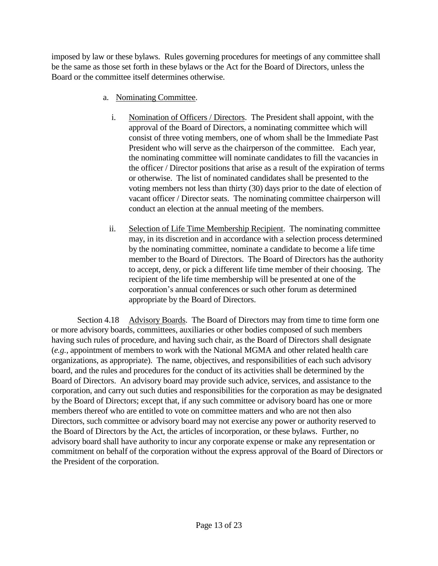imposed by law or these bylaws. Rules governing procedures for meetings of any committee shall be the same as those set forth in these bylaws or the Act for the Board of Directors, unless the Board or the committee itself determines otherwise.

- a. Nominating Committee.
	- i. Nomination of Officers / Directors. The President shall appoint, with the approval of the Board of Directors, a nominating committee which will consist of three voting members, one of whom shall be the Immediate Past President who will serve as the chairperson of the committee. Each year, the nominating committee will nominate candidates to fill the vacancies in the officer / Director positions that arise as a result of the expiration of terms or otherwise. The list of nominated candidates shall be presented to the voting members not less than thirty (30) days prior to the date of election of vacant officer / Director seats. The nominating committee chairperson will conduct an election at the annual meeting of the members.
	- ii. Selection of Life Time Membership Recipient. The nominating committee may, in its discretion and in accordance with a selection process determined by the nominating committee, nominate a candidate to become a life time member to the Board of Directors. The Board of Directors has the authority to accept, deny, or pick a different life time member of their choosing. The recipient of the life time membership will be presented at one of the corporation's annual conferences or such other forum as determined appropriate by the Board of Directors.

Section 4.18 Advisory Boards. The Board of Directors may from time to time form one or more advisory boards, committees, auxiliaries or other bodies composed of such members having such rules of procedure, and having such chair, as the Board of Directors shall designate (*e.g.*, appointment of members to work with the National MGMA and other related health care organizations, as appropriate). The name, objectives, and responsibilities of each such advisory board, and the rules and procedures for the conduct of its activities shall be determined by the Board of Directors. An advisory board may provide such advice, services, and assistance to the corporation, and carry out such duties and responsibilities for the corporation as may be designated by the Board of Directors; except that, if any such committee or advisory board has one or more members thereof who are entitled to vote on committee matters and who are not then also Directors, such committee or advisory board may not exercise any power or authority reserved to the Board of Directors by the Act, the articles of incorporation, or these bylaws. Further, no advisory board shall have authority to incur any corporate expense or make any representation or commitment on behalf of the corporation without the express approval of the Board of Directors or the President of the corporation.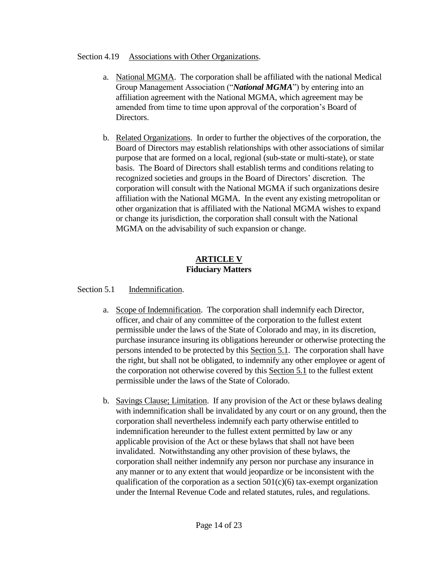### Section 4.19 Associations with Other Organizations.

- a. National MGMA. The corporation shall be affiliated with the national Medical Group Management Association ("*National MGMA*") by entering into an affiliation agreement with the National MGMA, which agreement may be amended from time to time upon approval of the corporation's Board of Directors.
- b. Related Organizations. In order to further the objectives of the corporation, the Board of Directors may establish relationships with other associations of similar purpose that are formed on a local, regional (sub-state or multi-state), or state basis. The Board of Directors shall establish terms and conditions relating to recognized societies and groups in the Board of Directors' discretion. The corporation will consult with the National MGMA if such organizations desire affiliation with the National MGMA. In the event any existing metropolitan or other organization that is affiliated with the National MGMA wishes to expand or change its jurisdiction, the corporation shall consult with the National MGMA on the advisability of such expansion or change.

## **ARTICLE V Fiduciary Matters**

### Section 5.1 Indemnification.

- a. Scope of Indemnification. The corporation shall indemnify each Director, officer, and chair of any committee of the corporation to the fullest extent permissible under the laws of the State of Colorado and may, in its discretion, purchase insurance insuring its obligations hereunder or otherwise protecting the persons intended to be protected by this Section 5.1. The corporation shall have the right, but shall not be obligated, to indemnify any other employee or agent of the corporation not otherwise covered by this Section 5.1 to the fullest extent permissible under the laws of the State of Colorado.
- b. Savings Clause; Limitation. If any provision of the Act or these bylaws dealing with indemnification shall be invalidated by any court or on any ground, then the corporation shall nevertheless indemnify each party otherwise entitled to indemnification hereunder to the fullest extent permitted by law or any applicable provision of the Act or these bylaws that shall not have been invalidated. Notwithstanding any other provision of these bylaws, the corporation shall neither indemnify any person nor purchase any insurance in any manner or to any extent that would jeopardize or be inconsistent with the qualification of the corporation as a section  $501(c)(6)$  tax-exempt organization under the Internal Revenue Code and related statutes, rules, and regulations.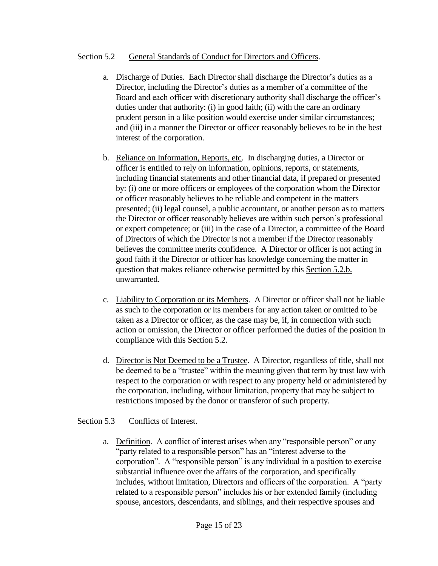### Section 5.2 General Standards of Conduct for Directors and Officers.

- a. Discharge of Duties. Each Director shall discharge the Director's duties as a Director, including the Director's duties as a member of a committee of the Board and each officer with discretionary authority shall discharge the officer's duties under that authority: (i) in good faith; (ii) with the care an ordinary prudent person in a like position would exercise under similar circumstances; and (iii) in a manner the Director or officer reasonably believes to be in the best interest of the corporation.
- b. Reliance on Information, Reports, etc. In discharging duties, a Director or officer is entitled to rely on information, opinions, reports, or statements, including financial statements and other financial data, if prepared or presented by: (i) one or more officers or employees of the corporation whom the Director or officer reasonably believes to be reliable and competent in the matters presented; (ii) legal counsel, a public accountant, or another person as to matters the Director or officer reasonably believes are within such person's professional or expert competence; or (iii) in the case of a Director, a committee of the Board of Directors of which the Director is not a member if the Director reasonably believes the committee merits confidence. A Director or officer is not acting in good faith if the Director or officer has knowledge concerning the matter in question that makes reliance otherwise permitted by this Section 5.2.b. unwarranted.
- c. Liability to Corporation or its Members. A Director or officer shall not be liable as such to the corporation or its members for any action taken or omitted to be taken as a Director or officer, as the case may be, if, in connection with such action or omission, the Director or officer performed the duties of the position in compliance with this Section 5.2.
- d. Director is Not Deemed to be a Trustee. A Director, regardless of title, shall not be deemed to be a "trustee" within the meaning given that term by trust law with respect to the corporation or with respect to any property held or administered by the corporation, including, without limitation, property that may be subject to restrictions imposed by the donor or transferor of such property.

### Section 5.3 Conflicts of Interest.

a. Definition. A conflict of interest arises when any "responsible person" or any "party related to a responsible person" has an "interest adverse to the corporation". A "responsible person" is any individual in a position to exercise substantial influence over the affairs of the corporation, and specifically includes, without limitation, Directors and officers of the corporation. A "party related to a responsible person" includes his or her extended family (including spouse, ancestors, descendants, and siblings, and their respective spouses and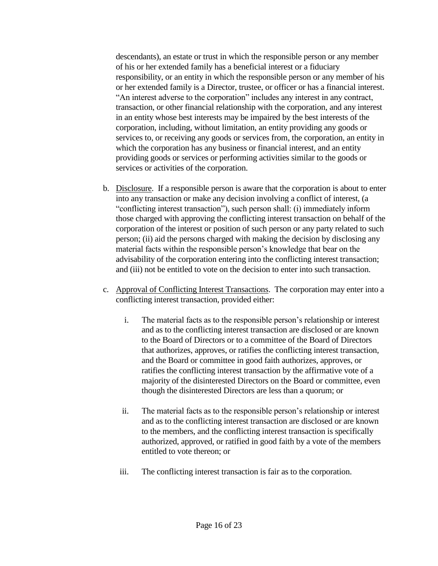descendants), an estate or trust in which the responsible person or any member of his or her extended family has a beneficial interest or a fiduciary responsibility, or an entity in which the responsible person or any member of his or her extended family is a Director, trustee, or officer or has a financial interest. "An interest adverse to the corporation" includes any interest in any contract, transaction, or other financial relationship with the corporation, and any interest in an entity whose best interests may be impaired by the best interests of the corporation, including, without limitation, an entity providing any goods or services to, or receiving any goods or services from, the corporation, an entity in which the corporation has any business or financial interest, and an entity providing goods or services or performing activities similar to the goods or services or activities of the corporation.

- b. Disclosure. If a responsible person is aware that the corporation is about to enter into any transaction or make any decision involving a conflict of interest, (a "conflicting interest transaction"), such person shall: (i) immediately inform those charged with approving the conflicting interest transaction on behalf of the corporation of the interest or position of such person or any party related to such person; (ii) aid the persons charged with making the decision by disclosing any material facts within the responsible person's knowledge that bear on the advisability of the corporation entering into the conflicting interest transaction; and (iii) not be entitled to vote on the decision to enter into such transaction.
- c. Approval of Conflicting Interest Transactions. The corporation may enter into a conflicting interest transaction, provided either:
	- i. The material facts as to the responsible person's relationship or interest and as to the conflicting interest transaction are disclosed or are known to the Board of Directors or to a committee of the Board of Directors that authorizes, approves, or ratifies the conflicting interest transaction, and the Board or committee in good faith authorizes, approves, or ratifies the conflicting interest transaction by the affirmative vote of a majority of the disinterested Directors on the Board or committee, even though the disinterested Directors are less than a quorum; or
	- ii. The material facts as to the responsible person's relationship or interest and as to the conflicting interest transaction are disclosed or are known to the members, and the conflicting interest transaction is specifically authorized, approved, or ratified in good faith by a vote of the members entitled to vote thereon; or
	- iii. The conflicting interest transaction is fair as to the corporation.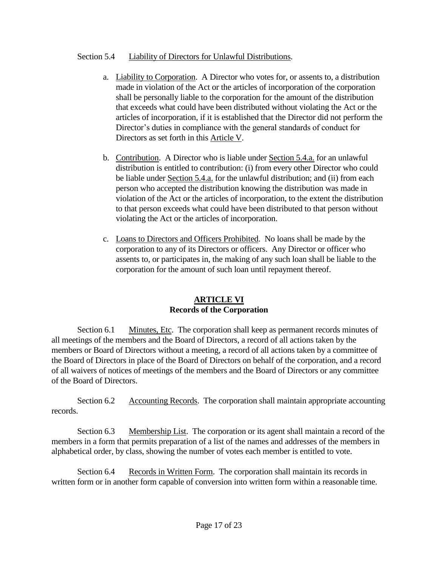## Section 5.4 Liability of Directors for Unlawful Distributions.

- a. Liability to Corporation. A Director who votes for, or assents to, a distribution made in violation of the Act or the articles of incorporation of the corporation shall be personally liable to the corporation for the amount of the distribution that exceeds what could have been distributed without violating the Act or the articles of incorporation, if it is established that the Director did not perform the Director's duties in compliance with the general standards of conduct for Directors as set forth in this Article V.
- b. Contribution. A Director who is liable under Section 5.4.a. for an unlawful distribution is entitled to contribution: (i) from every other Director who could be liable under Section 5.4.a. for the unlawful distribution; and (ii) from each person who accepted the distribution knowing the distribution was made in violation of the Act or the articles of incorporation, to the extent the distribution to that person exceeds what could have been distributed to that person without violating the Act or the articles of incorporation.
- c. Loans to Directors and Officers Prohibited. No loans shall be made by the corporation to any of its Directors or officers. Any Director or officer who assents to, or participates in, the making of any such loan shall be liable to the corporation for the amount of such loan until repayment thereof.

#### **ARTICLE VI Records of the Corporation**

Section 6.1 Minutes, Etc. The corporation shall keep as permanent records minutes of all meetings of the members and the Board of Directors, a record of all actions taken by the members or Board of Directors without a meeting, a record of all actions taken by a committee of the Board of Directors in place of the Board of Directors on behalf of the corporation, and a record of all waivers of notices of meetings of the members and the Board of Directors or any committee of the Board of Directors.

Section 6.2 Accounting Records. The corporation shall maintain appropriate accounting records.

Section 6.3 Membership List. The corporation or its agent shall maintain a record of the members in a form that permits preparation of a list of the names and addresses of the members in alphabetical order, by class, showing the number of votes each member is entitled to vote.

Section 6.4 Records in Written Form. The corporation shall maintain its records in written form or in another form capable of conversion into written form within a reasonable time.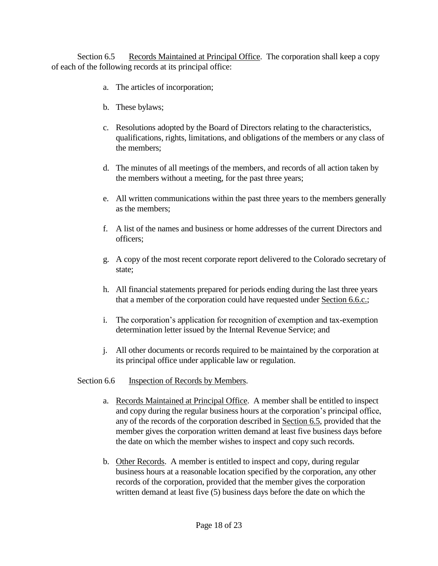Section 6.5 Records Maintained at Principal Office. The corporation shall keep a copy of each of the following records at its principal office:

- a. The articles of incorporation;
- b. These bylaws;
- c. Resolutions adopted by the Board of Directors relating to the characteristics, qualifications, rights, limitations, and obligations of the members or any class of the members;
- d. The minutes of all meetings of the members, and records of all action taken by the members without a meeting, for the past three years;
- e. All written communications within the past three years to the members generally as the members;
- f. A list of the names and business or home addresses of the current Directors and officers;
- g. A copy of the most recent corporate report delivered to the Colorado secretary of state;
- h. All financial statements prepared for periods ending during the last three years that a member of the corporation could have requested under Section 6.6.c.;
- i. The corporation's application for recognition of exemption and tax-exemption determination letter issued by the Internal Revenue Service; and
- j. All other documents or records required to be maintained by the corporation at its principal office under applicable law or regulation.

### Section 6.6 Inspection of Records by Members.

- a. Records Maintained at Principal Office. A member shall be entitled to inspect and copy during the regular business hours at the corporation's principal office, any of the records of the corporation described in Section 6.5, provided that the member gives the corporation written demand at least five business days before the date on which the member wishes to inspect and copy such records.
- b. Other Records. A member is entitled to inspect and copy, during regular business hours at a reasonable location specified by the corporation, any other records of the corporation, provided that the member gives the corporation written demand at least five (5) business days before the date on which the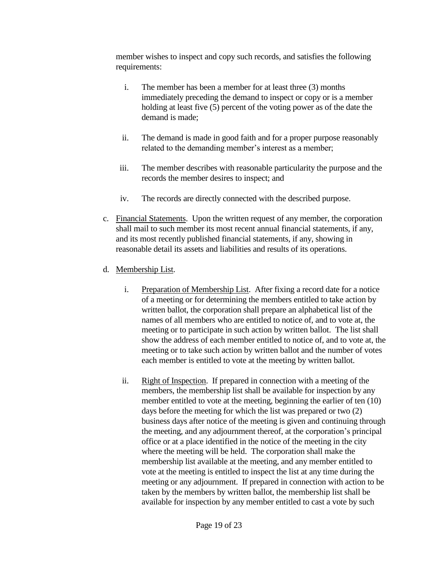member wishes to inspect and copy such records, and satisfies the following requirements:

- i. The member has been a member for at least three (3) months immediately preceding the demand to inspect or copy or is a member holding at least five (5) percent of the voting power as of the date the demand is made;
- ii. The demand is made in good faith and for a proper purpose reasonably related to the demanding member's interest as a member;
- iii. The member describes with reasonable particularity the purpose and the records the member desires to inspect; and
- iv. The records are directly connected with the described purpose.
- c. Financial Statements. Upon the written request of any member, the corporation shall mail to such member its most recent annual financial statements, if any, and its most recently published financial statements, if any, showing in reasonable detail its assets and liabilities and results of its operations.
- d. Membership List.
	- i. Preparation of Membership List. After fixing a record date for a notice of a meeting or for determining the members entitled to take action by written ballot, the corporation shall prepare an alphabetical list of the names of all members who are entitled to notice of, and to vote at, the meeting or to participate in such action by written ballot. The list shall show the address of each member entitled to notice of, and to vote at, the meeting or to take such action by written ballot and the number of votes each member is entitled to vote at the meeting by written ballot.
	- ii. Right of Inspection. If prepared in connection with a meeting of the members, the membership list shall be available for inspection by any member entitled to vote at the meeting, beginning the earlier of ten (10) days before the meeting for which the list was prepared or two (2) business days after notice of the meeting is given and continuing through the meeting, and any adjournment thereof, at the corporation's principal office or at a place identified in the notice of the meeting in the city where the meeting will be held. The corporation shall make the membership list available at the meeting, and any member entitled to vote at the meeting is entitled to inspect the list at any time during the meeting or any adjournment. If prepared in connection with action to be taken by the members by written ballot, the membership list shall be available for inspection by any member entitled to cast a vote by such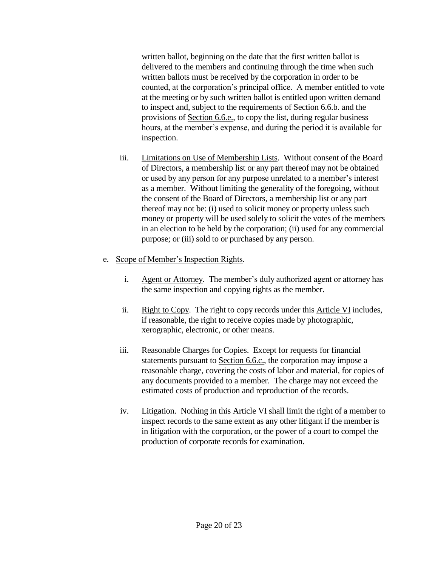written ballot, beginning on the date that the first written ballot is delivered to the members and continuing through the time when such written ballots must be received by the corporation in order to be counted, at the corporation's principal office. A member entitled to vote at the meeting or by such written ballot is entitled upon written demand to inspect and, subject to the requirements of Section 6.6.b. and the provisions of Section 6.6.e., to copy the list, during regular business hours, at the member's expense, and during the period it is available for inspection.

- iii. Limitations on Use of Membership Lists. Without consent of the Board of Directors, a membership list or any part thereof may not be obtained or used by any person for any purpose unrelated to a member's interest as a member. Without limiting the generality of the foregoing, without the consent of the Board of Directors, a membership list or any part thereof may not be: (i) used to solicit money or property unless such money or property will be used solely to solicit the votes of the members in an election to be held by the corporation; (ii) used for any commercial purpose; or (iii) sold to or purchased by any person.
- e. Scope of Member's Inspection Rights.
	- i. Agent or Attorney. The member's duly authorized agent or attorney has the same inspection and copying rights as the member.
	- ii. Right to Copy. The right to copy records under this Article VI includes, if reasonable, the right to receive copies made by photographic, xerographic, electronic, or other means.
	- iii. Reasonable Charges for Copies. Except for requests for financial statements pursuant to Section 6.6.c., the corporation may impose a reasonable charge, covering the costs of labor and material, for copies of any documents provided to a member. The charge may not exceed the estimated costs of production and reproduction of the records.
	- iv. Litigation. Nothing in this Article VI shall limit the right of a member to inspect records to the same extent as any other litigant if the member is in litigation with the corporation, or the power of a court to compel the production of corporate records for examination.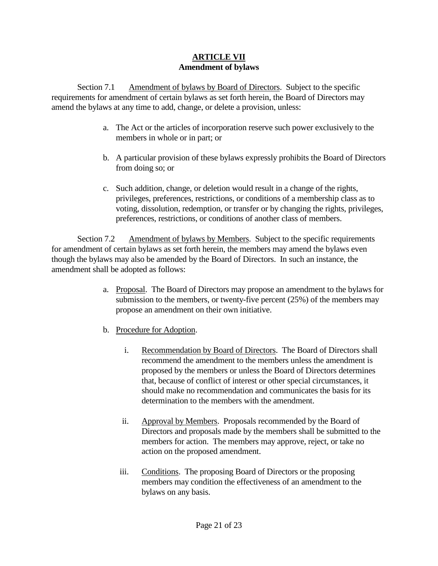# **ARTICLE VII Amendment of bylaws**

Section 7.1 Amendment of bylaws by Board of Directors. Subject to the specific requirements for amendment of certain bylaws as set forth herein, the Board of Directors may amend the bylaws at any time to add, change, or delete a provision, unless:

- a. The Act or the articles of incorporation reserve such power exclusively to the members in whole or in part; or
- b. A particular provision of these bylaws expressly prohibits the Board of Directors from doing so; or
- c. Such addition, change, or deletion would result in a change of the rights, privileges, preferences, restrictions, or conditions of a membership class as to voting, dissolution, redemption, or transfer or by changing the rights, privileges, preferences, restrictions, or conditions of another class of members.

Section 7.2 Amendment of bylaws by Members. Subject to the specific requirements for amendment of certain bylaws as set forth herein, the members may amend the bylaws even though the bylaws may also be amended by the Board of Directors. In such an instance, the amendment shall be adopted as follows:

- a. Proposal. The Board of Directors may propose an amendment to the bylaws for submission to the members, or twenty-five percent (25%) of the members may propose an amendment on their own initiative.
- b. Procedure for Adoption.
	- i. Recommendation by Board of Directors. The Board of Directors shall recommend the amendment to the members unless the amendment is proposed by the members or unless the Board of Directors determines that, because of conflict of interest or other special circumstances, it should make no recommendation and communicates the basis for its determination to the members with the amendment.
	- ii. Approval by Members. Proposals recommended by the Board of Directors and proposals made by the members shall be submitted to the members for action. The members may approve, reject, or take no action on the proposed amendment.
	- iii. Conditions. The proposing Board of Directors or the proposing members may condition the effectiveness of an amendment to the bylaws on any basis.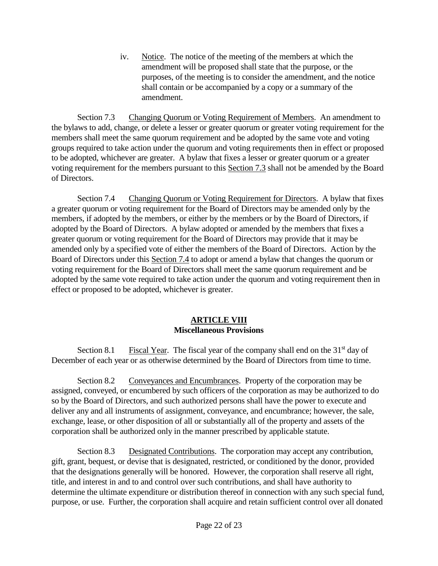iv. Notice. The notice of the meeting of the members at which the amendment will be proposed shall state that the purpose, or the purposes, of the meeting is to consider the amendment, and the notice shall contain or be accompanied by a copy or a summary of the amendment.

Section 7.3 Changing Quorum or Voting Requirement of Members. An amendment to the bylaws to add, change, or delete a lesser or greater quorum or greater voting requirement for the members shall meet the same quorum requirement and be adopted by the same vote and voting groups required to take action under the quorum and voting requirements then in effect or proposed to be adopted, whichever are greater. A bylaw that fixes a lesser or greater quorum or a greater voting requirement for the members pursuant to this Section 7.3 shall not be amended by the Board of Directors.

Section 7.4 Changing Quorum or Voting Requirement for Directors. A bylaw that fixes a greater quorum or voting requirement for the Board of Directors may be amended only by the members, if adopted by the members, or either by the members or by the Board of Directors, if adopted by the Board of Directors. A bylaw adopted or amended by the members that fixes a greater quorum or voting requirement for the Board of Directors may provide that it may be amended only by a specified vote of either the members of the Board of Directors. Action by the Board of Directors under this Section 7.4 to adopt or amend a bylaw that changes the quorum or voting requirement for the Board of Directors shall meet the same quorum requirement and be adopted by the same vote required to take action under the quorum and voting requirement then in effect or proposed to be adopted, whichever is greater.

# **ARTICLE VIII Miscellaneous Provisions**

Section 8.1 Fiscal Year. The fiscal year of the company shall end on the  $31<sup>st</sup>$  day of December of each year or as otherwise determined by the Board of Directors from time to time.

Section 8.2 Conveyances and Encumbrances. Property of the corporation may be assigned, conveyed, or encumbered by such officers of the corporation as may be authorized to do so by the Board of Directors, and such authorized persons shall have the power to execute and deliver any and all instruments of assignment, conveyance, and encumbrance; however, the sale, exchange, lease, or other disposition of all or substantially all of the property and assets of the corporation shall be authorized only in the manner prescribed by applicable statute.

Section 8.3 Designated Contributions. The corporation may accept any contribution, gift, grant, bequest, or devise that is designated, restricted, or conditioned by the donor, provided that the designations generally will be honored. However, the corporation shall reserve all right, title, and interest in and to and control over such contributions, and shall have authority to determine the ultimate expenditure or distribution thereof in connection with any such special fund, purpose, or use. Further, the corporation shall acquire and retain sufficient control over all donated